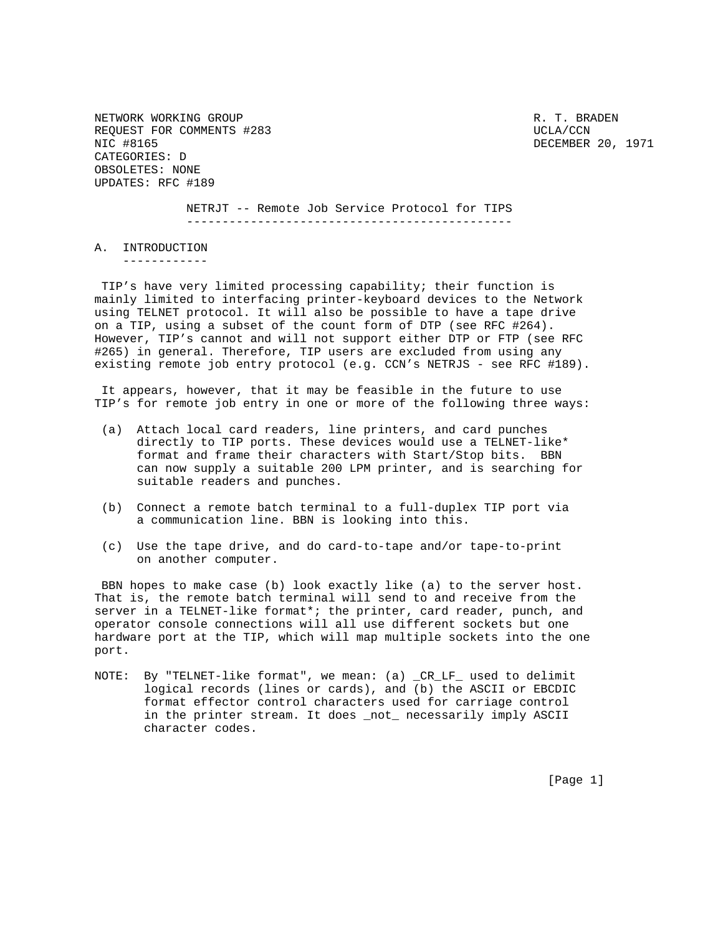NETWORK WORKING GROUP **Reading the CONSTRUCTION CONSTRUCTS**  $R$ . T. BRADEN REQUEST FOR COMMENTS #283 UCLA/CCN NIC #8165 DECEMBER 20, 1971 CATEGORIES: D OBSOLETES: NONE UPDATES: RFC #189

 NETRJT -- Remote Job Service Protocol for TIPS ----------------------------------------------

A. INTRODUCTION

------------

 TIP's have very limited processing capability; their function is mainly limited to interfacing printer-keyboard devices to the Network using TELNET protocol. It will also be possible to have a tape drive on a TIP, using a subset of the count form of DTP (see RFC #264). However, TIP's cannot and will not support either DTP or FTP (see RFC #265) in general. Therefore, TIP users are excluded from using any existing remote job entry protocol (e.g. CCN's NETRJS - see RFC #189).

 It appears, however, that it may be feasible in the future to use TIP's for remote job entry in one or more of the following three ways:

- (a) Attach local card readers, line printers, and card punches directly to TIP ports. These devices would use a TELNET-like\* format and frame their characters with Start/Stop bits. BBN can now supply a suitable 200 LPM printer, and is searching for suitable readers and punches.
- (b) Connect a remote batch terminal to a full-duplex TIP port via a communication line. BBN is looking into this.
- (c) Use the tape drive, and do card-to-tape and/or tape-to-print on another computer.

 BBN hopes to make case (b) look exactly like (a) to the server host. That is, the remote batch terminal will send to and receive from the server in a TELNET-like format\*; the printer, card reader, punch, and operator console connections will all use different sockets but one hardware port at the TIP, which will map multiple sockets into the one port.

NOTE: By "TELNET-like format", we mean: (a) \_CR\_LF\_ used to delimit logical records (lines or cards), and (b) the ASCII or EBCDIC format effector control characters used for carriage control in the printer stream. It does \_not\_ necessarily imply ASCII character codes.

[Page 1]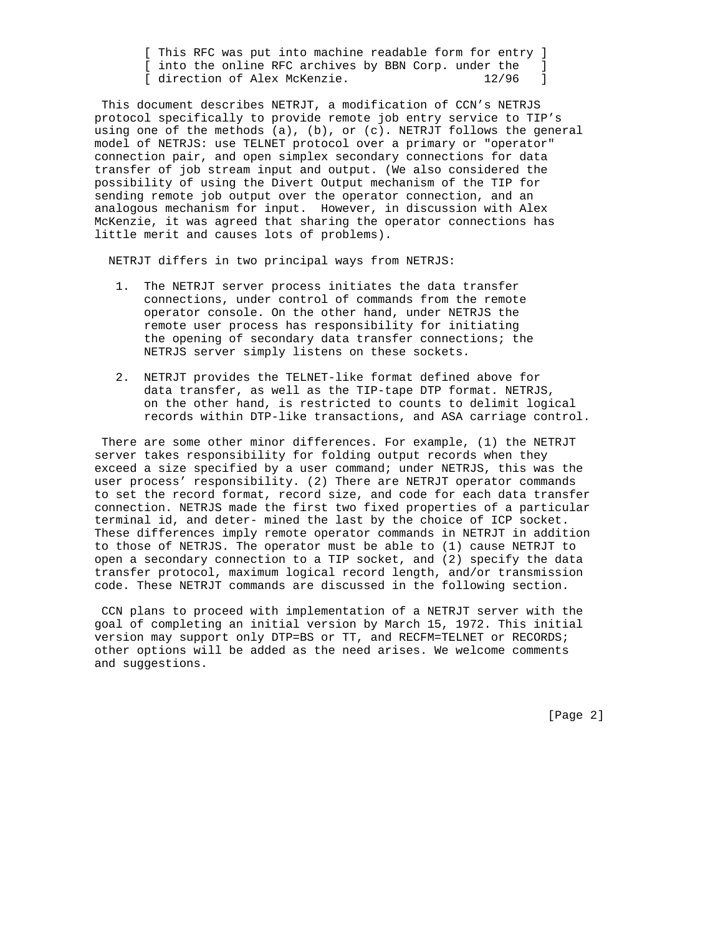[ This RFC was put into machine readable form for entry ] [ into the online RFC archives by BBN Corp. under the ] [ direction of Alex McKenzie. 12/96 ]

 This document describes NETRJT, a modification of CCN's NETRJS protocol specifically to provide remote job entry service to TIP's using one of the methods (a), (b), or (c). NETRJT follows the general model of NETRJS: use TELNET protocol over a primary or "operator" connection pair, and open simplex secondary connections for data transfer of job stream input and output. (We also considered the possibility of using the Divert Output mechanism of the TIP for sending remote job output over the operator connection, and an analogous mechanism for input. However, in discussion with Alex McKenzie, it was agreed that sharing the operator connections has little merit and causes lots of problems).

NETRJT differs in two principal ways from NETRJS:

- 1. The NETRJT server process initiates the data transfer connections, under control of commands from the remote operator console. On the other hand, under NETRJS the remote user process has responsibility for initiating the opening of secondary data transfer connections; the NETRJS server simply listens on these sockets.
- 2. NETRJT provides the TELNET-like format defined above for data transfer, as well as the TIP-tape DTP format. NETRJS, on the other hand, is restricted to counts to delimit logical records within DTP-like transactions, and ASA carriage control.

 There are some other minor differences. For example, (1) the NETRJT server takes responsibility for folding output records when they exceed a size specified by a user command; under NETRJS, this was the user process' responsibility. (2) There are NETRJT operator commands to set the record format, record size, and code for each data transfer connection. NETRJS made the first two fixed properties of a particular terminal id, and deter- mined the last by the choice of ICP socket. These differences imply remote operator commands in NETRJT in addition to those of NETRJS. The operator must be able to (1) cause NETRJT to open a secondary connection to a TIP socket, and (2) specify the data transfer protocol, maximum logical record length, and/or transmission code. These NETRJT commands are discussed in the following section.

 CCN plans to proceed with implementation of a NETRJT server with the goal of completing an initial version by March 15, 1972. This initial version may support only DTP=BS or TT, and RECFM=TELNET or RECORDS; other options will be added as the need arises. We welcome comments and suggestions.

[Page 2]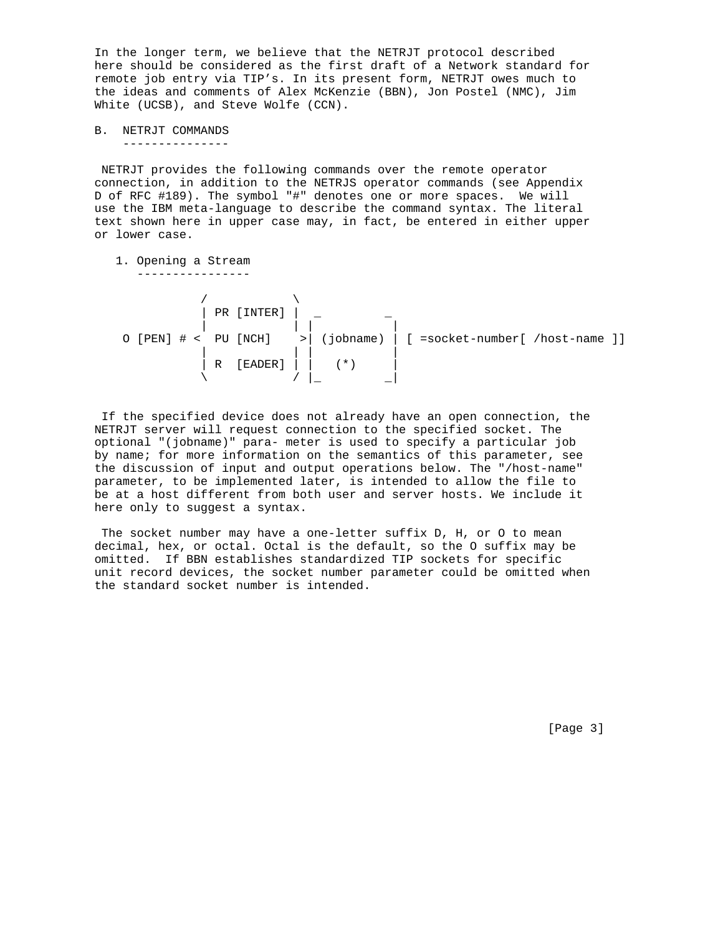In the longer term, we believe that the NETRJT protocol described here should be considered as the first draft of a Network standard for remote job entry via TIP's. In its present form, NETRJT owes much to the ideas and comments of Alex McKenzie (BBN), Jon Postel (NMC), Jim White (UCSB), and Steve Wolfe (CCN).

B. NETRJT COMMANDS ---------------

 NETRJT provides the following commands over the remote operator connection, in addition to the NETRJS operator commands (see Appendix D of RFC #189). The symbol "#" denotes one or more spaces. We will use the IBM meta-language to describe the command syntax. The literal text shown here in upper case may, in fact, be entered in either upper or lower case.

1. Opening a Stream

----------------

 $\sqrt{2}$  | PR [INTER] | \_ \_ | | | | O [PEN] # < PU [NCH] >| (jobname) | [ =socket-number[ /host-name ]] | | | | | R [EADER] | | (\*) |  $\setminus$   $\setminus$   $\setminus$   $\setminus$   $\setminus$   $\setminus$   $\setminus$   $\setminus$ 

 If the specified device does not already have an open connection, the NETRJT server will request connection to the specified socket. The optional "(jobname)" para- meter is used to specify a particular job by name; for more information on the semantics of this parameter, see the discussion of input and output operations below. The "/host-name" parameter, to be implemented later, is intended to allow the file to be at a host different from both user and server hosts. We include it here only to suggest a syntax.

 The socket number may have a one-letter suffix D, H, or O to mean decimal, hex, or octal. Octal is the default, so the O suffix may be omitted. If BBN establishes standardized TIP sockets for specific unit record devices, the socket number parameter could be omitted when the standard socket number is intended.

[Page 3]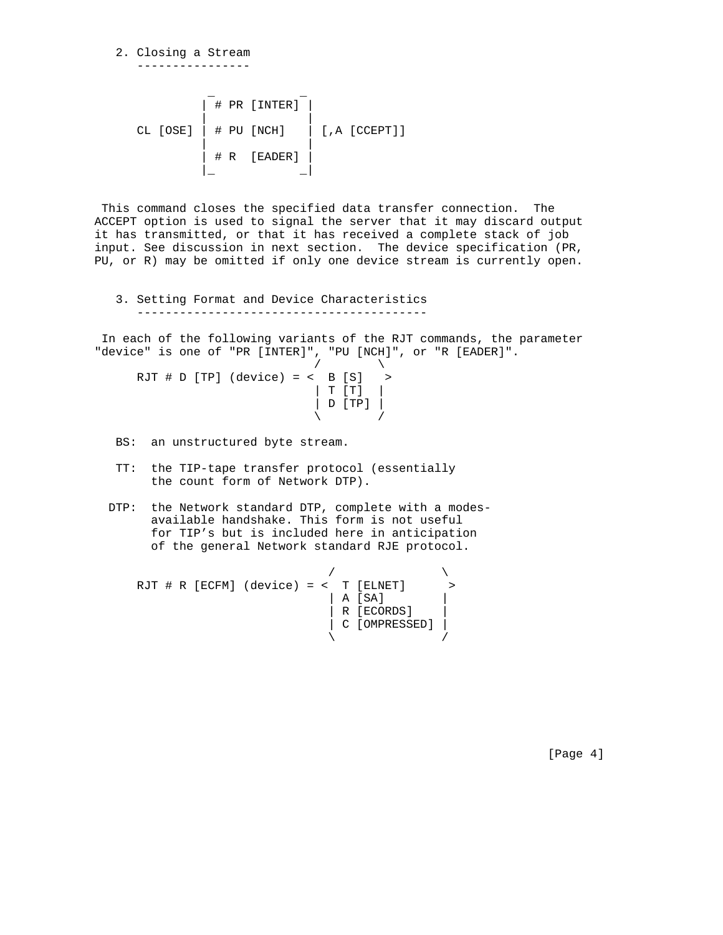2. Closing a Stream ----------------

 \_ \_ | **# PR [INTER]** | | | CL [OSE] | # PU [NCH] | [,A [CCEPT]] | |  $|$   $#$  R  $[$  EADER  $]$ |\_ \_|

 This command closes the specified data transfer connection. The ACCEPT option is used to signal the server that it may discard output it has transmitted, or that it has received a complete stack of job input. See discussion in next section. The device specification (PR, PU, or R) may be omitted if only one device stream is currently open.

 3. Setting Format and Device Characteristics -----------------------------------------

 In each of the following variants of the RJT commands, the parameter "device" is one of "PR [INTER]", "PU [NCH]", or "R [EADER]".

 $\overline{a}$  /  $\overline{a}$  /  $\overline{a}$  /  $\overline{a}$  /  $\overline{a}$  $RJT \# D [TP]$  (device) = <  $B [S]$  > | T [T] |  $|D$   $[TP]$  |  $\sqrt{2}$  /  $\sqrt{2}$  /  $\sqrt{2}$  /  $\sqrt{2}$  /  $\sqrt{2}$  /  $\sqrt{2}$  /  $\sqrt{2}$  /  $\sqrt{2}$  /  $\sqrt{2}$  /  $\sqrt{2}$  /  $\sqrt{2}$  /  $\sqrt{2}$  /  $\sqrt{2}$  /  $\sqrt{2}$  /  $\sqrt{2}$  /  $\sqrt{2}$  /  $\sqrt{2}$  /  $\sqrt{2}$  /  $\sqrt{2}$  /  $\sqrt{2}$  /  $\sqrt{2}$  /  $\sqrt{2}$  /

BS: an unstructured byte stream.

- TT: the TIP-tape transfer protocol (essentially the count form of Network DTP).
- DTP: the Network standard DTP, complete with a modes available handshake. This form is not useful for TIP's but is included here in anticipation of the general Network standard RJE protocol.

 $\sqrt{ }$  RJT # R [ECFM] (device) = < T [ELNET] > | A [SA] | | R [ECORDS] | | C [OMPRESSED] |  $\sqrt{2}$ 

[Page 4]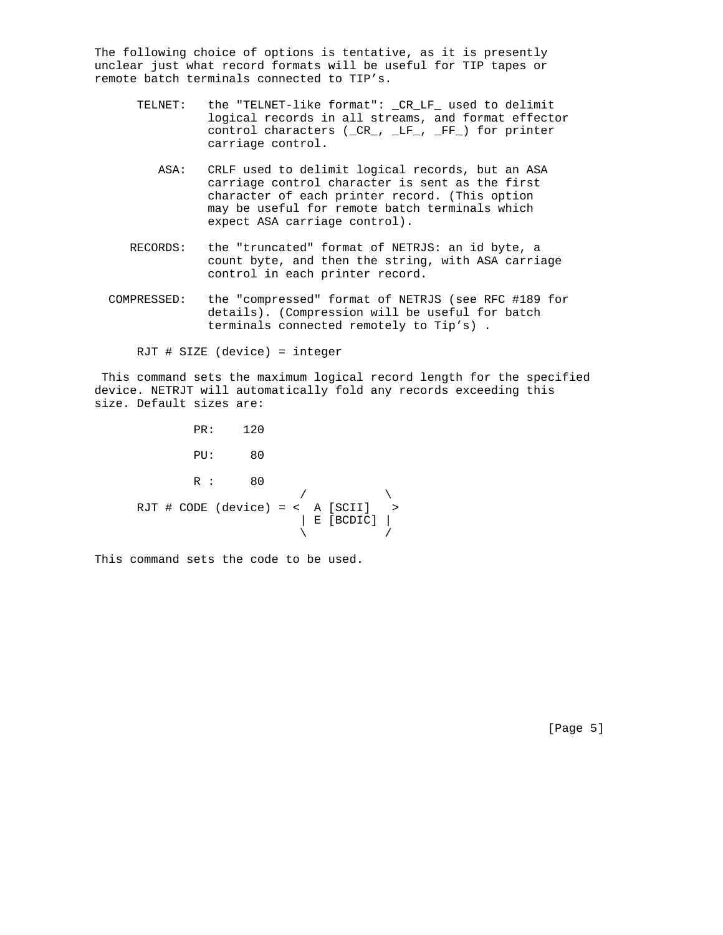The following choice of options is tentative, as it is presently unclear just what record formats will be useful for TIP tapes or remote batch terminals connected to TIP's.

- TELNET: the "TELNET-like format": \_CR\_LF\_ used to delimit logical records in all streams, and format effector control characters (\_CR\_, \_LF\_, \_FF\_) for printer carriage control.
	- ASA: CRLF used to delimit logical records, but an ASA carriage control character is sent as the first character of each printer record. (This option may be useful for remote batch terminals which expect ASA carriage control).
- RECORDS: the "truncated" format of NETRJS: an id byte, a count byte, and then the string, with ASA carriage control in each printer record.
- COMPRESSED: the "compressed" format of NETRJS (see RFC #189 for details). (Compression will be useful for batch terminals connected remotely to Tip's) .

RJT # SIZE (device) = integer

 This command sets the maximum logical record length for the specified device. NETRJT will automatically fold any records exceeding this size. Default sizes are:

 PR: 120 PU: 80 R : 80  $\overline{a}$  /  $\overline{a}$  /  $\overline{a}$  /  $\overline{a}$  RJT # CODE (device) = < A [SCII] >  $\vert$  E [BCDIC]  $\vert$  $\sqrt{2}$  /  $\sqrt{2}$  /  $\sqrt{2}$  /  $\sqrt{2}$  /  $\sqrt{2}$  /  $\sqrt{2}$  /  $\sqrt{2}$  /  $\sqrt{2}$  /  $\sqrt{2}$  /  $\sqrt{2}$  /  $\sqrt{2}$  /  $\sqrt{2}$  /  $\sqrt{2}$  /  $\sqrt{2}$  /  $\sqrt{2}$  /  $\sqrt{2}$  /  $\sqrt{2}$  /  $\sqrt{2}$  /  $\sqrt{2}$  /  $\sqrt{2}$  /  $\sqrt{2}$  /  $\sqrt{2}$  /

This command sets the code to be used.

[Page 5]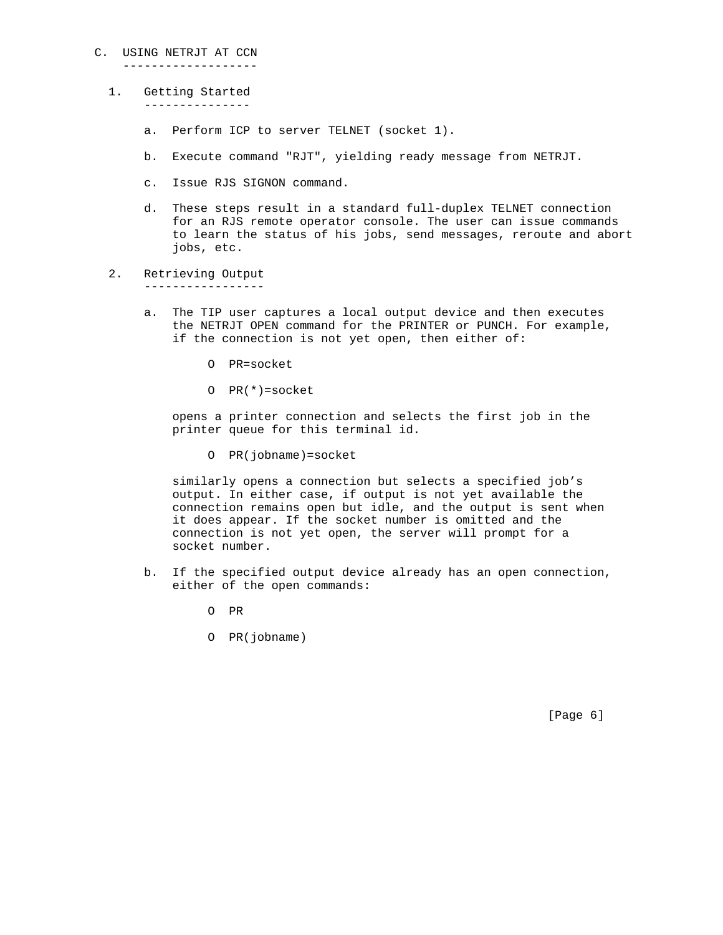## C. USING NETRJT AT CCN

-------------------

- 1. Getting Started --------------
	- a. Perform ICP to server TELNET (socket 1).
	- b. Execute command "RJT", yielding ready message from NETRJT.
	- c. Issue RJS SIGNON command.
	- d. These steps result in a standard full-duplex TELNET connection for an RJS remote operator console. The user can issue commands to learn the status of his jobs, send messages, reroute and abort jobs, etc.
- 2. Retrieving Output

-----------------

- a. The TIP user captures a local output device and then executes the NETRJT OPEN command for the PRINTER or PUNCH. For example, if the connection is not yet open, then either of:
	- O PR=socket
	- O PR(\*)=socket

 opens a printer connection and selects the first job in the printer queue for this terminal id.

O PR(jobname)=socket

 similarly opens a connection but selects a specified job's output. In either case, if output is not yet available the connection remains open but idle, and the output is sent when it does appear. If the socket number is omitted and the connection is not yet open, the server will prompt for a socket number.

- b. If the specified output device already has an open connection, either of the open commands:
	- O PR
	- O PR(jobname)

[Page 6]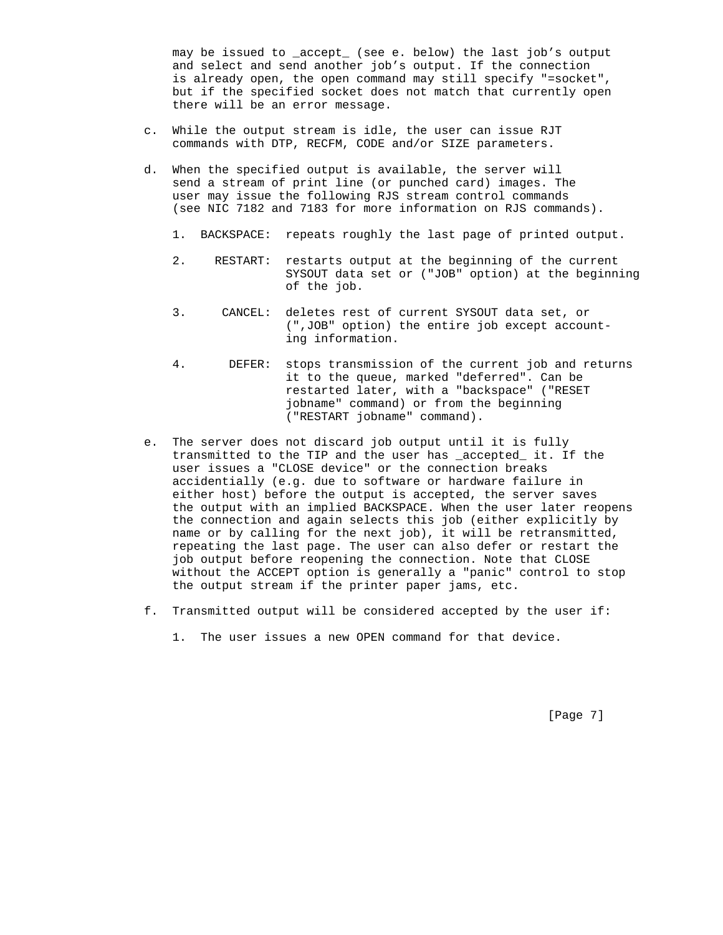may be issued to \_accept\_ (see e. below) the last job's output and select and send another job's output. If the connection is already open, the open command may still specify "=socket", but if the specified socket does not match that currently open there will be an error message.

- c. While the output stream is idle, the user can issue RJT commands with DTP, RECFM, CODE and/or SIZE parameters.
- d. When the specified output is available, the server will send a stream of print line (or punched card) images. The user may issue the following RJS stream control commands (see NIC 7182 and 7183 for more information on RJS commands).
	- 1. BACKSPACE: repeats roughly the last page of printed output.
	- 2. RESTART: restarts output at the beginning of the current SYSOUT data set or ("JOB" option) at the beginning of the job.
	- 3. CANCEL: deletes rest of current SYSOUT data set, or (",JOB" option) the entire job except account ing information.
	- 4. DEFER: stops transmission of the current job and returns it to the queue, marked "deferred". Can be restarted later, with a "backspace" ("RESET jobname" command) or from the beginning ("RESTART jobname" command).
- e. The server does not discard job output until it is fully transmitted to the TIP and the user has \_accepted\_ it. If the user issues a "CLOSE device" or the connection breaks accidentially (e.g. due to software or hardware failure in either host) before the output is accepted, the server saves the output with an implied BACKSPACE. When the user later reopens the connection and again selects this job (either explicitly by name or by calling for the next job), it will be retransmitted, repeating the last page. The user can also defer or restart the job output before reopening the connection. Note that CLOSE without the ACCEPT option is generally a "panic" control to stop the output stream if the printer paper jams, etc.
- f. Transmitted output will be considered accepted by the user if:
	- 1. The user issues a new OPEN command for that device.

[Page 7]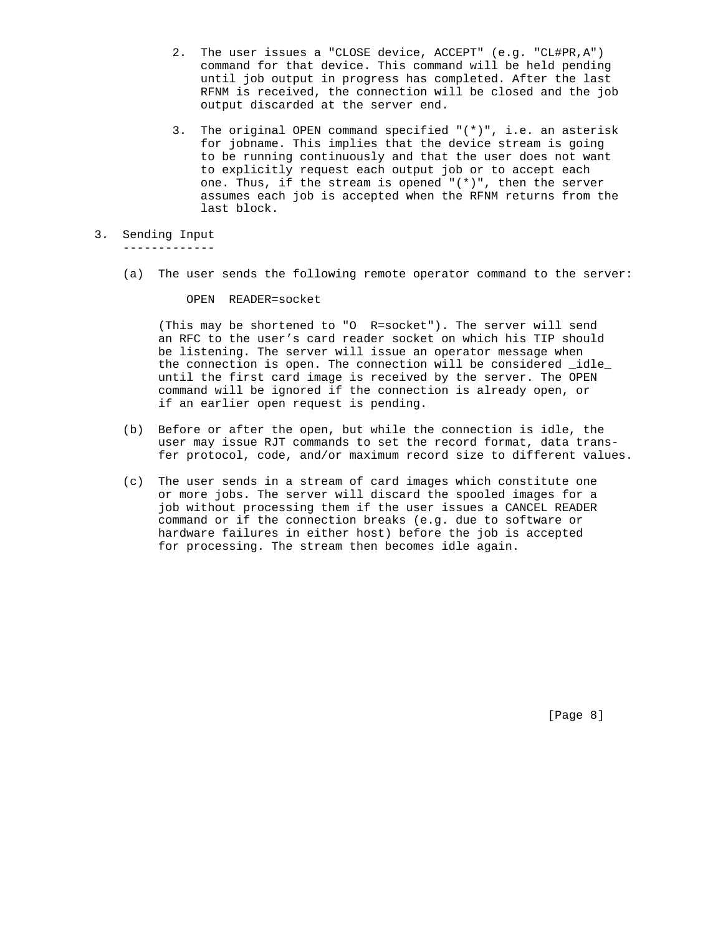- 2. The user issues a "CLOSE device, ACCEPT" (e.g. "CL#PR,A") command for that device. This command will be held pending until job output in progress has completed. After the last RFNM is received, the connection will be closed and the job output discarded at the server end.
- 3. The original OPEN command specified "(\*)", i.e. an asterisk for jobname. This implies that the device stream is going to be running continuously and that the user does not want to explicitly request each output job or to accept each one. Thus, if the stream is opened  $"(*)"$ , then the server assumes each job is accepted when the RFNM returns from the last block.
- 3. Sending Input

-------------

(a) The user sends the following remote operator command to the server:

OPEN READER=socket

 (This may be shortened to "O R=socket"). The server will send an RFC to the user's card reader socket on which his TIP should be listening. The server will issue an operator message when the connection is open. The connection will be considered \_idle\_ until the first card image is received by the server. The OPEN command will be ignored if the connection is already open, or if an earlier open request is pending.

- (b) Before or after the open, but while the connection is idle, the user may issue RJT commands to set the record format, data trans fer protocol, code, and/or maximum record size to different values.
- (c) The user sends in a stream of card images which constitute one or more jobs. The server will discard the spooled images for a job without processing them if the user issues a CANCEL READER command or if the connection breaks (e.g. due to software or hardware failures in either host) before the job is accepted for processing. The stream then becomes idle again.

[Page 8]